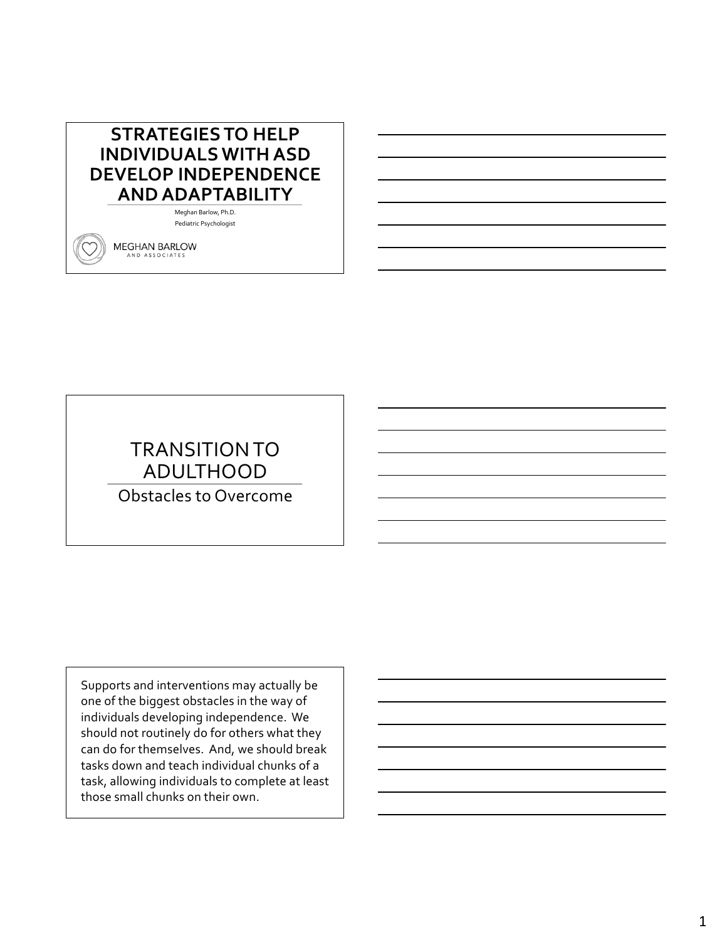# **STRATEGIES TO HELP INDIVIDUALS WITH ASD DEVELOP INDEPENDENCE AND ADAPTABILITY**

Meghan Barlow, Ph.D. Pediatric Psychologist

**MEGHAN BARLOW** AND ASSOCIATES

# TRANSITION TO ADULTHOOD

Obstacles to Overcome

Supports and interventions may actually be one of the biggest obstacles in the way of individuals developing independence. We should not routinely do for others what they can do for themselves. And, we should break tasks down and teach individual chunks of a task, allowing individuals to complete at least those small chunks on their own.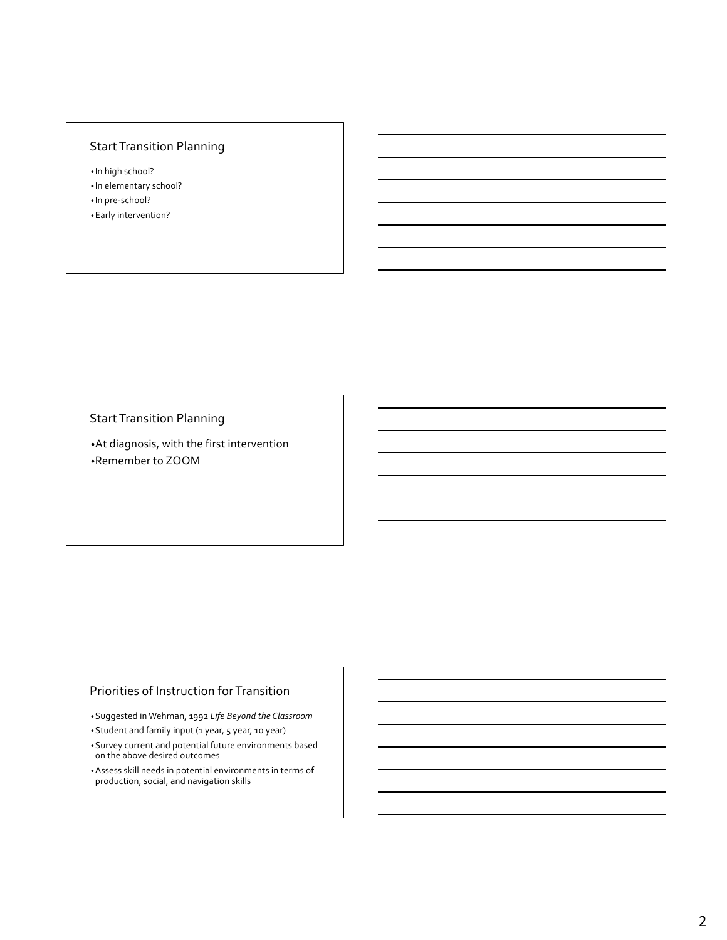# Start Transition Planning

• In high school? • In elementary school? • In pre-school? •Early intervention?

Start Transition Planning

•At diagnosis, with the first intervention •Remember to ZOOM

### Priorities of Instruction for Transition

•Suggested in Wehman, 1992 *Life Beyond the Classroom*

•Student and family input (1 year, 5 year, 10 year)

•Survey current and potential future environments based on the above desired outcomes

•Assess skill needs in potential environments in terms of production, social, and navigation skills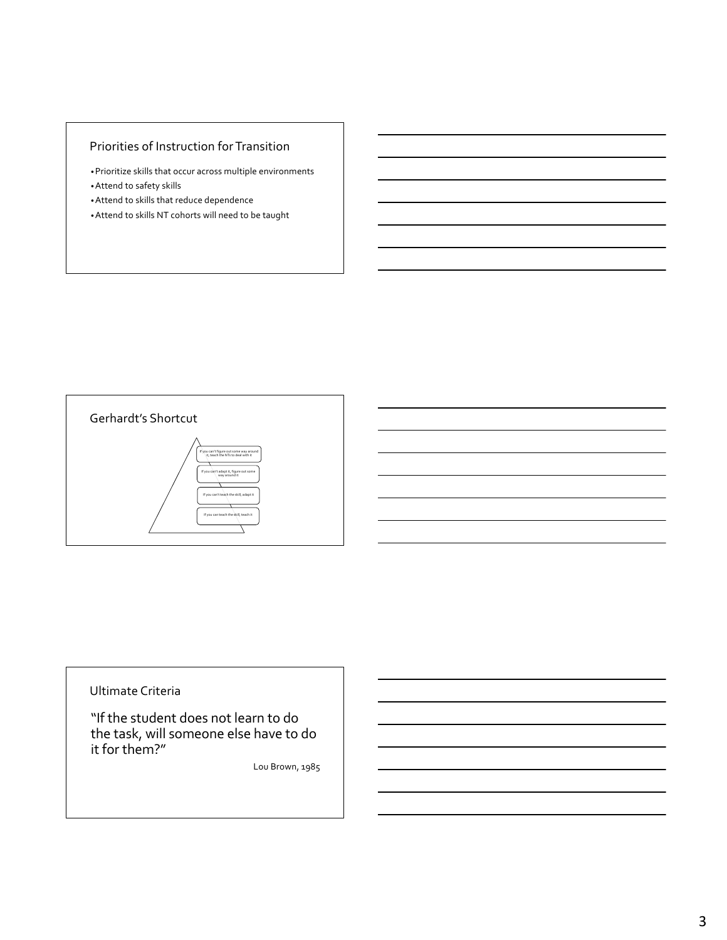# Priorities of Instruction for Transition

- •Prioritize skills that occur across multiple environments •Attend to safety skills
- •Attend to skills that reduce dependence
- •Attend to skills NT cohorts will need to be taught



#### Ultimate Criteria

"If the student does not learn to do the task, will someone else have to do it for them?"

Lou Brown, 1985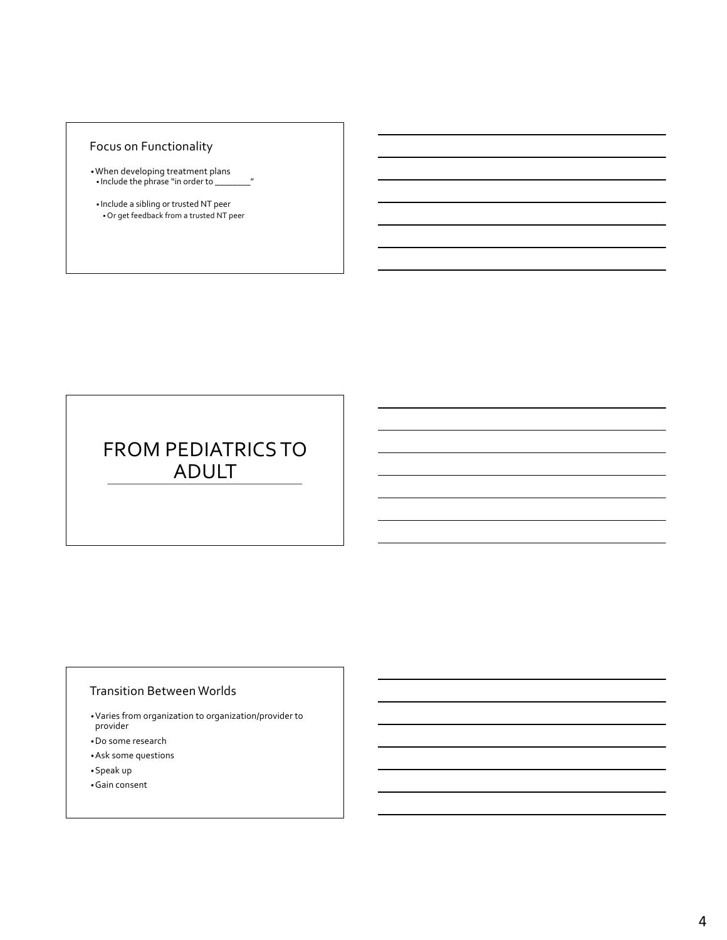# Focus on Functionality

- •When developing treatment plans • Include the phrase "in order to \_\_\_\_\_\_\_\_"
- Include a sibling or trusted NT peer • Or get feedback from a trusted NT peer

# FROM PEDIATRICS TO ADULT

### Transition Between Worlds

- •Varies from organization to organization/provider to provider
- •Do some research
- •Ask some questions
- •Speak up
- •Gain consent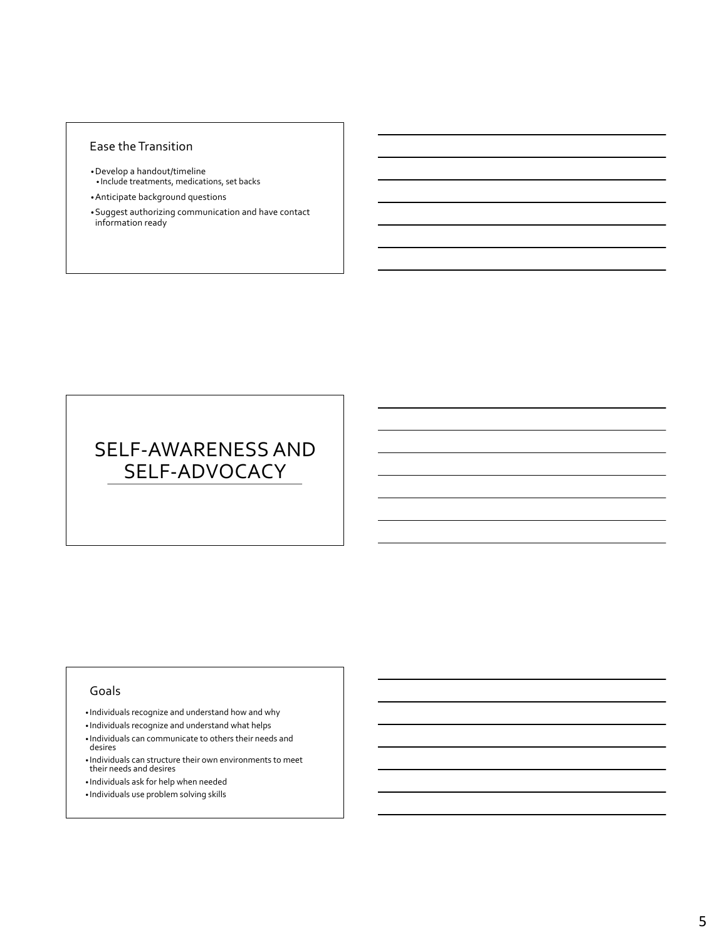#### Ease the Transition

- •Develop a handout/timeline • Include treatments, medications, set backs
- •Anticipate background questions
- •Suggest authorizing communication and have contact information ready

# SELF-AWARENESS AND SELF-ADVOCACY

#### Goals

- Individuals recognize and understand how and why
- Individuals recognize and understand what helps
- Individuals can communicate to others their needs and desires
- Individuals can structure their own environments to meet their needs and desires
- Individuals ask for help when needed
- Individuals use problem solving skills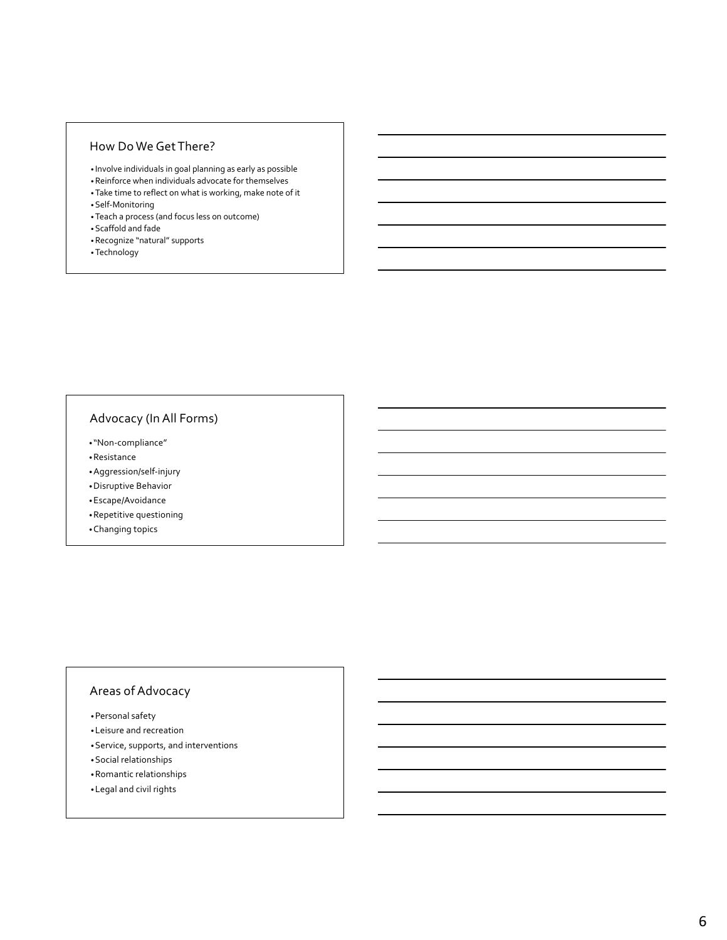### How Do We Get There?

- Involve individuals in goal planning as early as possible
- •Reinforce when individuals advocate for themselves
- •Take time to reflect on what is working, make note of it
- •Self-Monitoring
- •Teach a process (and focus less on outcome)
- •Scaffold and fade
- •Recognize "natural" supports
- •Technology

### Advocacy (In All Forms)

- "Non-compliance"
- •Resistance
- •Aggression/self-injury
- •Disruptive Behavior
- •Escape/Avoidance
- •Repetitive questioning
- •Changing topics

### Areas of Advocacy

- •Personal safety
- •Leisure and recreation
- •Service, supports, and interventions
- •Social relationships
- •Romantic relationships
- •Legal and civil rights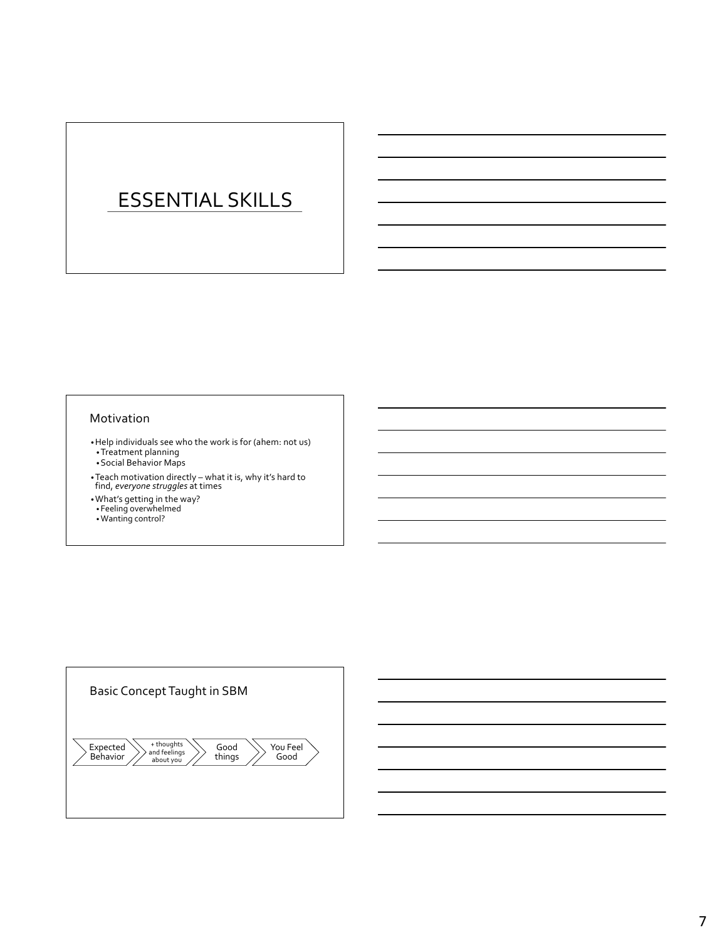# ESSENTIAL SKILLS

#### Motivation

- •Help individuals see who the work is for (ahem: not us) •Treatment planning
- •Social Behavior Maps
- •Teach motivation directly what it is, why it's hard to find, *everyone struggles* at times
- 
- •What's getting in the way? Feeling overwhelmed
- •Wanting control?

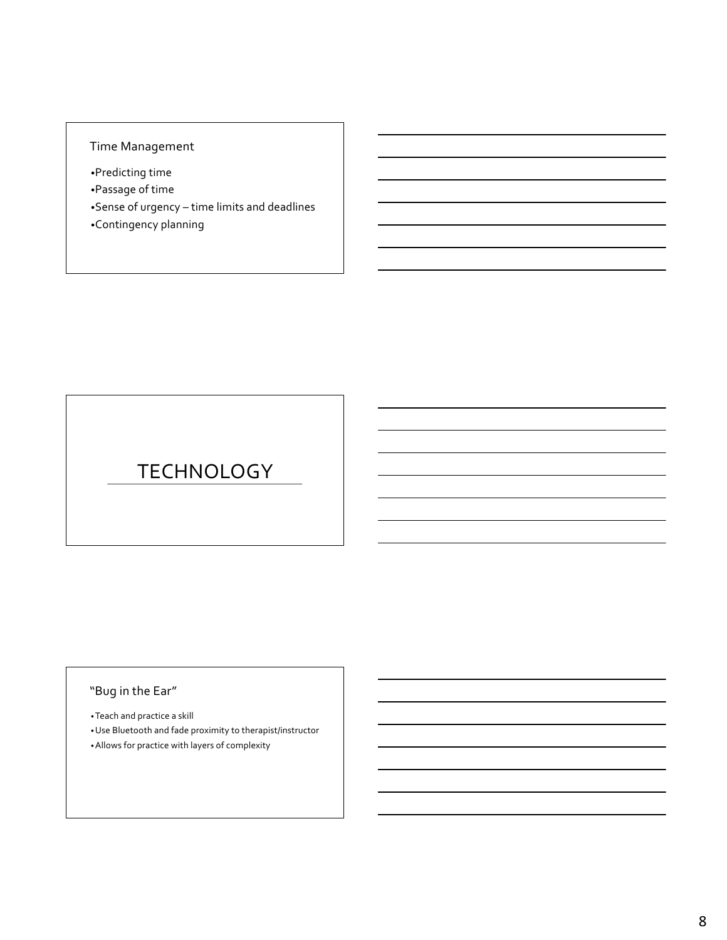# Time Management

- •Predicting time
- •Passage of time
- •Sense of urgency time limits and deadlines •Contingency planning

# TECHNOLOGY

# "Bug in the Ear"

•Teach and practice a skill

•Use Bluetooth and fade proximity to therapist/instructor •Allows for practice with layers of complexity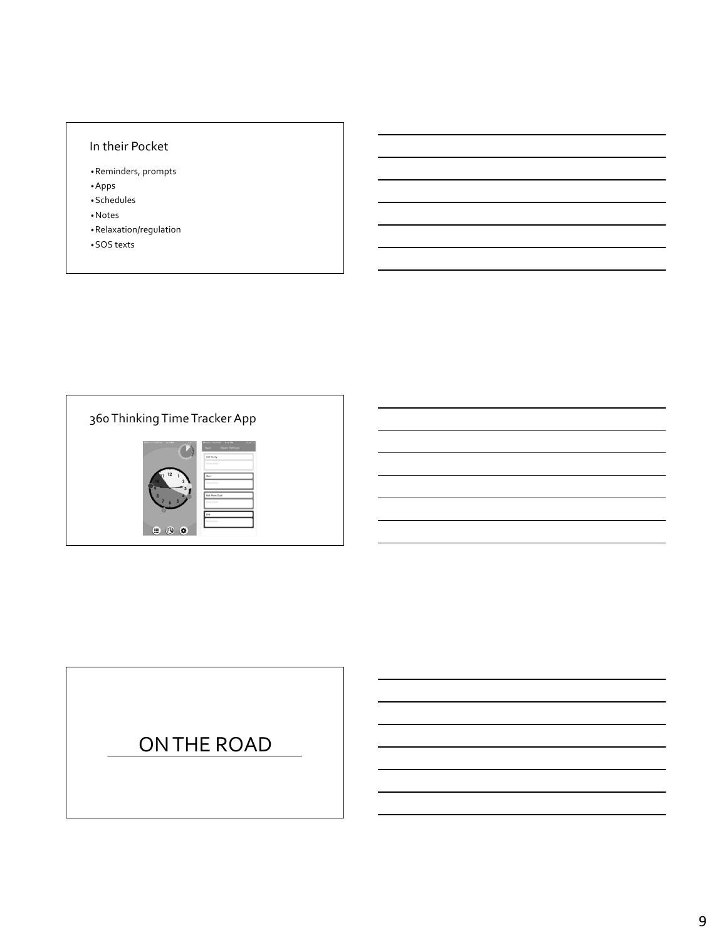### In their Pocket

- •Reminders, prompts •Apps
- •Schedules
- •Notes
- •Relaxation/regulation
- •SOS texts



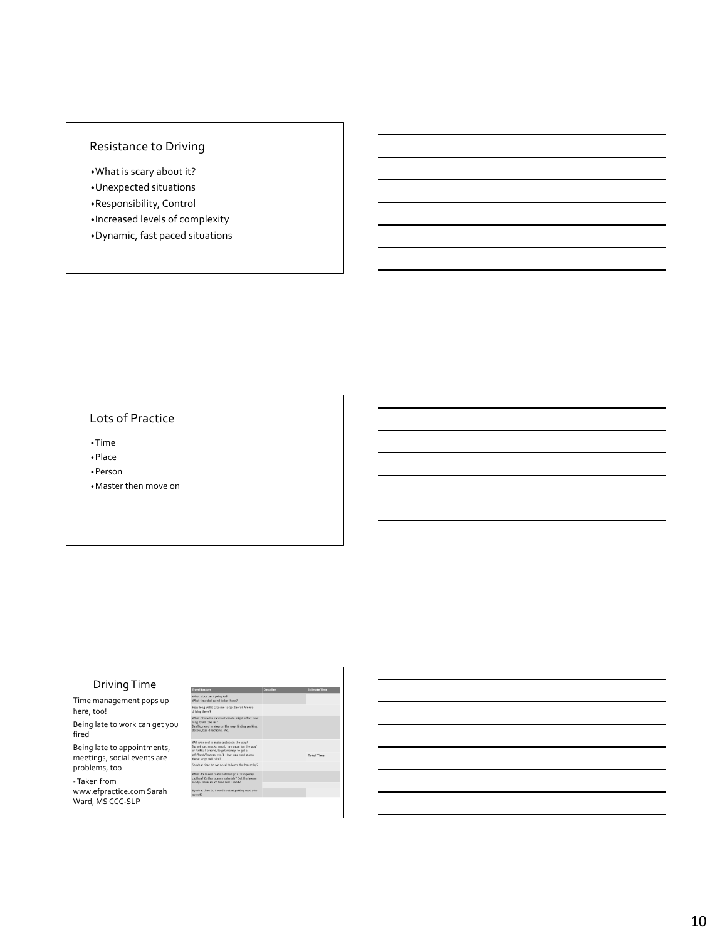### Resistance to Driving

•What is scary about it? •Unexpected situations

- •Responsibility, Control
- •Increased levels of complexity
- •Dynamic, fast paced situations

### Lots of Practice

•Time

•Place

•Person

•Master then move on

#### Driving Time Trave ors and the contract of the Describe (Contract of Esti What<br>What ace am I going to?<br>ne do I need to be Time management pops up there? How long will it take me to get there? Are we<br>driving there? here, too! Being late to work can get you What Obst<br>long it will<br>(traffic, net)<br>detour. has on the way, finding parking fired Being late to appointments, Total Time: meetings, social events are problems, too iange my<br>t the house - Taken from www.efpractice.com Sarah Ward, MS CCC-SLP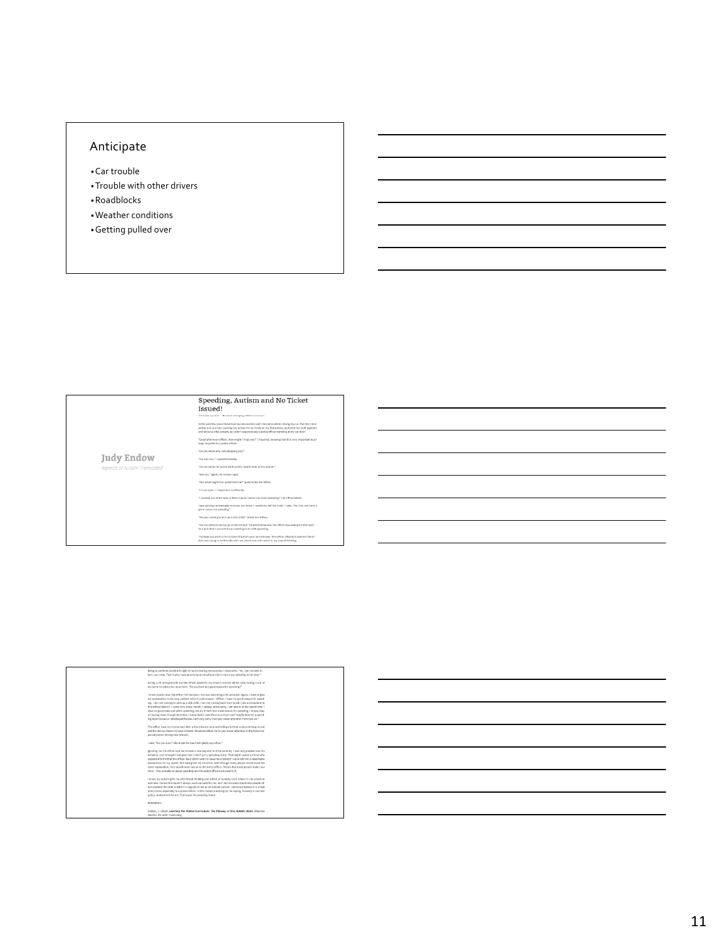# Anticipate

- •Car trouble
- •Trouble with other drivers
- •Roadblocks
- •Weather conditions
- •Getting pulled over

|                              | Speeding, Autism and No Ticket<br>Issued!                                                                                                                                                                                                                                                                      |
|------------------------------|----------------------------------------------------------------------------------------------------------------------------------------------------------------------------------------------------------------------------------------------------------------------------------------------------------------|
|                              | G October 12, 2014 B Autism and Aging, Hidden Curriculum                                                                                                                                                                                                                                                       |
|                              | In the past few years I have had two encounters with the police while driving my car. The first time I<br>pulled into a school parking lot, answered an email on my Blackberry, gathered my stuff together<br>and let out a little scream, as I didn't expect to see a police officer standing at my car door! |
|                              | "Good afternoon officer, How might I help you?" I inquired, knowing that it is very important to al-<br>ways be polite to a police officer.                                                                                                                                                                    |
|                              | "Do you know why I am stopping you?"                                                                                                                                                                                                                                                                           |
| Judy Endow                   | "No, I do not," I replied honestly,                                                                                                                                                                                                                                                                            |
| Aspects of Autism Translated | "Do you know the speed limit on this road in front of the school?"                                                                                                                                                                                                                                             |
|                              | "Yes I do," again, my honest reply,                                                                                                                                                                                                                                                                            |
|                              | "And what might that speed limit be?" questioned the officer.                                                                                                                                                                                                                                                  |
|                              | "It is 25 mph," I responded confidently.                                                                                                                                                                                                                                                                       |
|                              | "I clocked you at 33 mph. Is there a good reason you were speeding?" the efficer asked.                                                                                                                                                                                                                        |
|                              | I was getting increasingly nervous, but knew I needed to tell the truth. I said, "No. I do not have a<br>good reason for speeding."                                                                                                                                                                            |
|                              | "Are you coming to pick up a sick child?" asked the officer.                                                                                                                                                                                                                                                   |
|                              | "No, my children do not go to this school." I did not know why the officer was asking me this ques-<br>tion as it didn't seem to have anything to do with speeding.                                                                                                                                            |
|                              | "Perhaps you are in a hurry returning from your lunch break," the officer offered, it seemed this of-<br>ficer was trying to be friendly with me, which was a bit weird to my way of thinking.                                                                                                                 |

| Being as polite as possible in light of my increasing nervousness I responded. "No. I am not late. In<br>fact. I am early. That is why I was answering an email and didn't notice you standing at the door."                                                                                                                                                                                                                                                                                                                                                                                                                                                                                                                                            |
|---------------------------------------------------------------------------------------------------------------------------------------------------------------------------------------------------------------------------------------------------------------------------------------------------------------------------------------------------------------------------------------------------------------------------------------------------------------------------------------------------------------------------------------------------------------------------------------------------------------------------------------------------------------------------------------------------------------------------------------------------------|
| Acting a bit annoved with me the officer asked for my driver's license. While I was fishing it out of<br>my purse he asked one more time. "Do you have any good reason for speeding?"                                                                                                                                                                                                                                                                                                                                                                                                                                                                                                                                                                   |
| I knew exactly how this officer felt because I too was becoming a bit annoyed. Again, I tried to give<br>my explanation in the very politest voice I could muster, "Officer, I have no good reason for speed-<br>ing. I am not coming to pick up a sick child. I am not coming back from lunch. I am a consultant to<br>this school district. I come here every month. I always arrive early, I am aware of the speed limit. I<br>have no good reason at all for speeding, but do in fact have a bad reason for speeding. I simply was-<br>n't paying close enough attention. I know that is bad of me as a driver and I totally deserve a speed-<br>ing ticket because I disobeved the law. I am very sorry, I will pay closer attention from now on." |
| The officer took my license and after a few minutes returned telling me I had a clean driving record<br>and he saw no reason to issue a ticket. He admonished me to pay closer attention in the future es-<br>pecially when driving near schools.                                                                                                                                                                                                                                                                                                                                                                                                                                                                                                       |
| I said, "Are you sure? I did break the law. I will gladly pay a fine."                                                                                                                                                                                                                                                                                                                                                                                                                                                                                                                                                                                                                                                                                  |
| Ignoring me the officer told me to have a nice day and to drive carefully. I was very puzzled over his<br>behavior, even though I was glad that I didn't get a speeding ticket. That night I asked a friend who<br>explained to me that the officer likely didn't want to issue me a ticket if I could tell him a reasonable<br>explanation for my speed. She said given my situation, even though many people would have the<br>same explanation, they would never say so to the police officer. Seems that most people make up a<br>story - they actually lie about speeding and the police officers are used to it.                                                                                                                                  |
| I know my autism gifts me with literal thinking and a kind of honesty most others in the world do<br>not have. I know this deesn't always work out well for me, but I do not understand why people of-<br>ten consider this trait a deficit in regards to me as an autistic person. I sincerely believe it is a bad<br>policy to lie, especially to a police officer, in this instance abiding by the saying, Honesty is the best<br>policy, worked well for me. End result: No speeding ticket,                                                                                                                                                                                                                                                        |
| REFERENCE                                                                                                                                                                                                                                                                                                                                                                                                                                                                                                                                                                                                                                                                                                                                               |
| Endow, J. (2012). Learning the Hidden Corriculum: The Odyssey of One Autistic Adult. Shawnee<br>Mission, KS: AAPC Publishing.                                                                                                                                                                                                                                                                                                                                                                                                                                                                                                                                                                                                                           |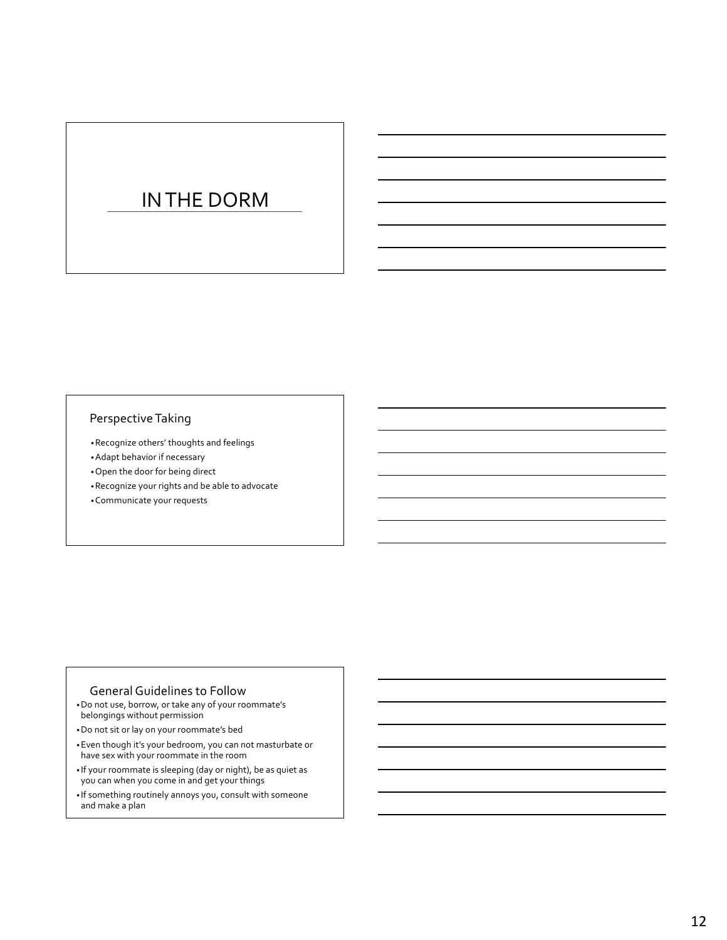# IN THE DORM

### Perspective Taking

- •Recognize others' thoughts and feelings
- •Adapt behavior if necessary
- •Open the door for being direct
- •Recognize your rights and be able to advocate
- •Communicate your requests

#### General Guidelines to Follow

- •Do not use, borrow, or take any of your roommate's belongings without permission
- •Do not sit or lay on your roommate's bed
- •Even though it's your bedroom, you can not masturbate or have sex with your roommate in the room
- If your roommate is sleeping (day or night), be as quiet as you can when you come in and get your things
- If something routinely annoys you, consult with someone and make a plan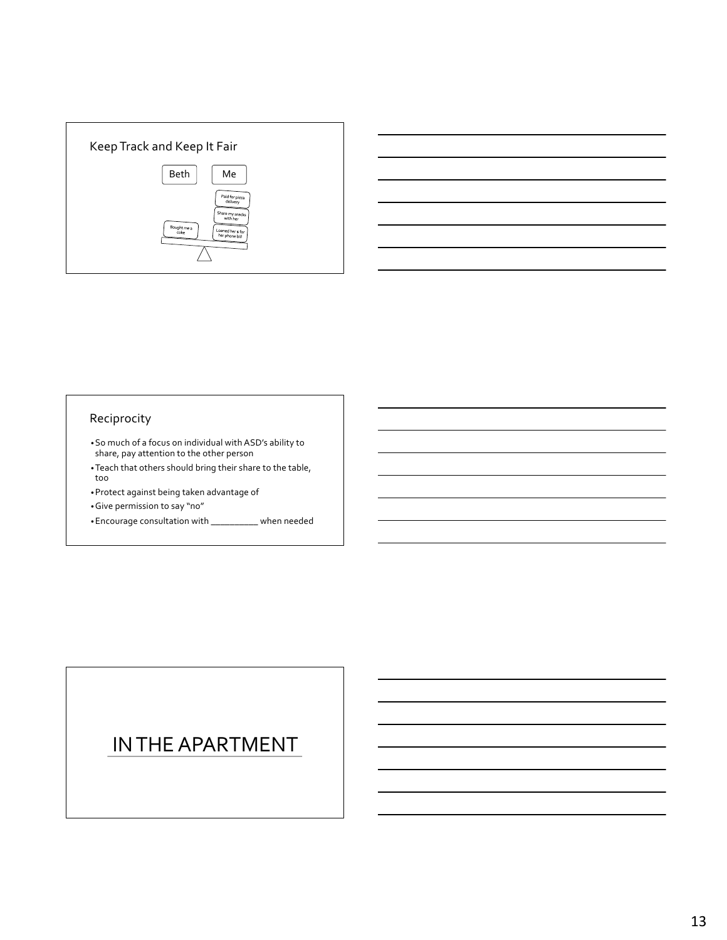



### Reciprocity

- •So much of a focus on individual with ASD's ability to share, pay attention to the other person
- •Teach that others should bring their share to the table, too
- •Protect against being taken advantage of
- •Give permission to say "no"
- •Encourage consultation with \_\_\_\_\_\_\_\_\_\_ when needed

# IN THE APARTMENT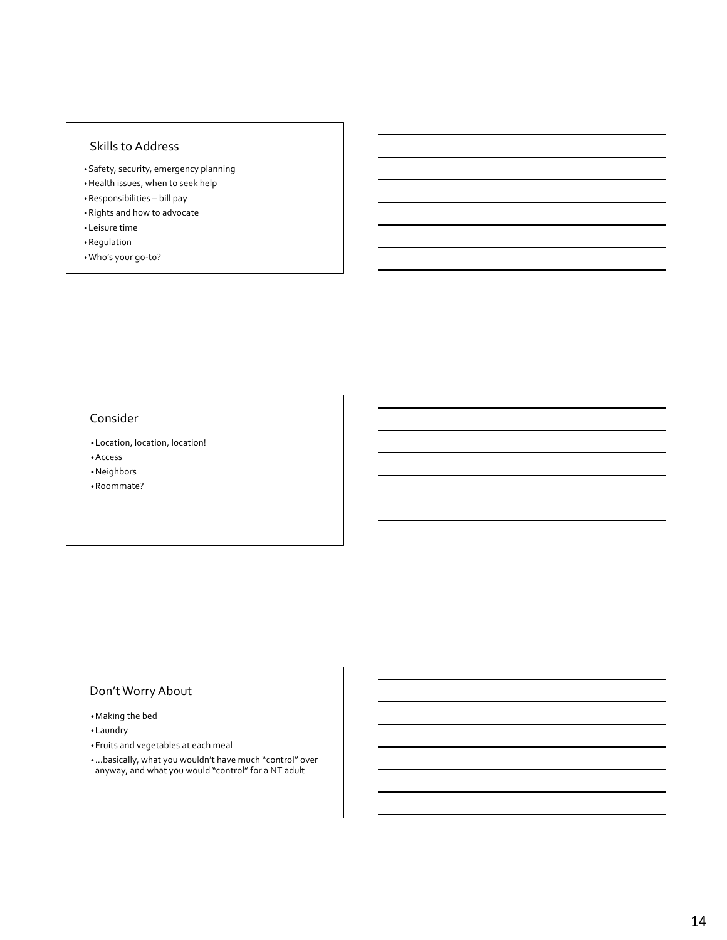### Skills to Address

- •Safety, security, emergency planning
- •Health issues, when to seek help
- •Responsibilities bill pay
- •Rights and how to advocate
- •Leisure time
- •Regulation
- •Who's your go-to?

### Consider

•Location, location, location! •Access

•Neighbors

•Roommate?

# Don't Worry About

•Making the bed

•Laundry

•Fruits and vegetables at each meal

•…basically, what you wouldn't have much "control" over anyway, and what you would "control" for a NT adult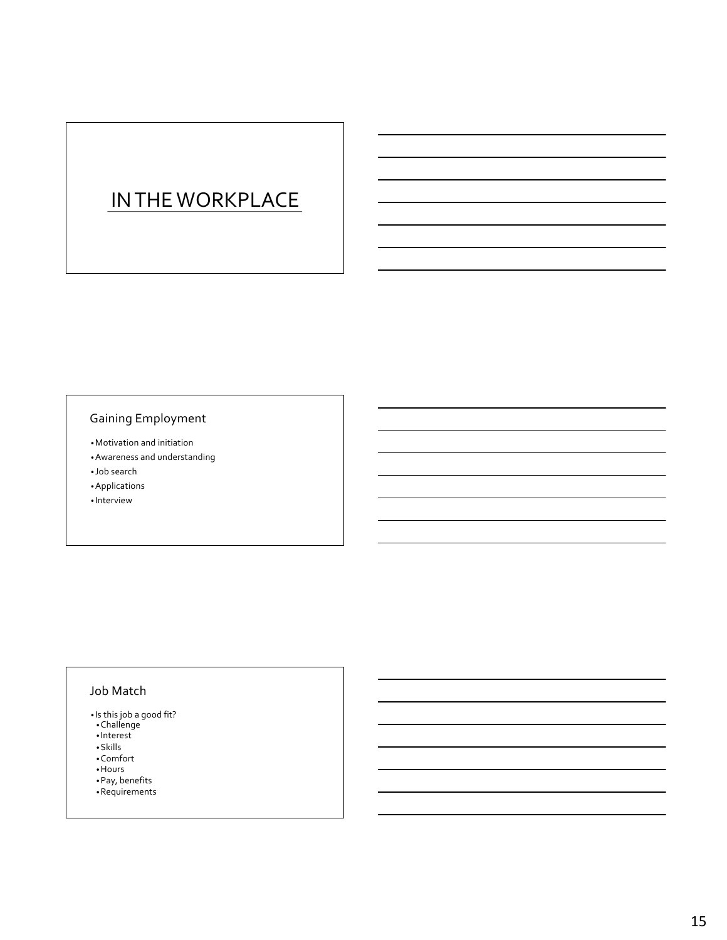# IN THE WORKPLACE

# Gaining Employment

- •Motivation and initiation
- •Awareness and understanding
- Job search
- •Applications
- Interview

### Job Match

- Is this job a good fit?
- •Challenge
- Interest
- •Skills
- •Comfort
- •Hours
- •Pay, benefits
- •Requirements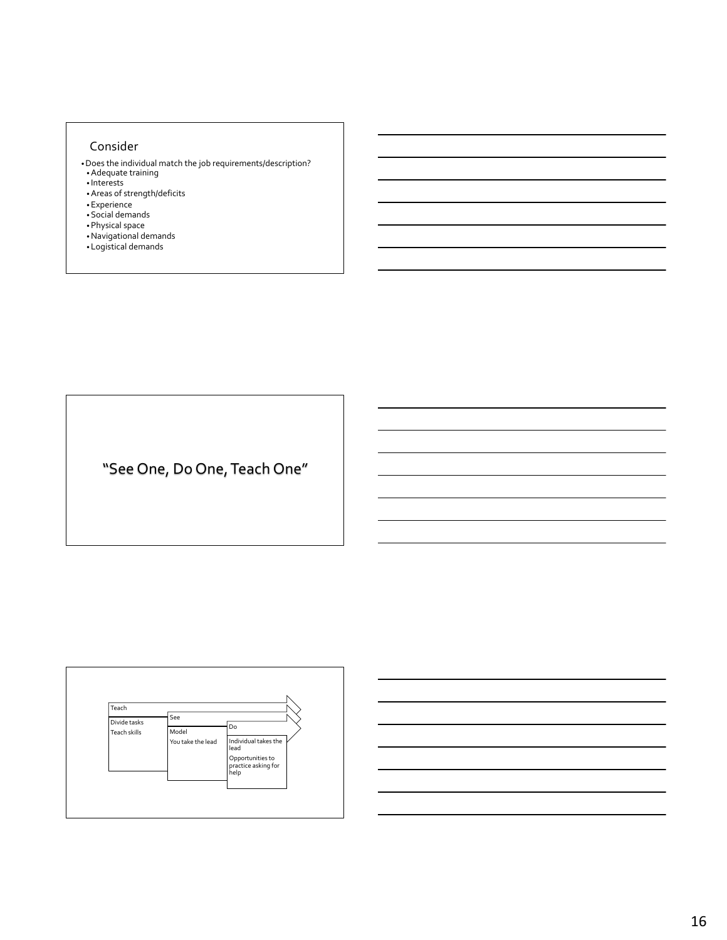### Consider

- •Does the individual match the job requirements/description? •Adequate training
- Interests
- •Areas of strength/deficits
- •Experience
- •Social demands
- •Physical space
- •Navigational demands
- Logistical demands

"See One, Do One, Teach One"



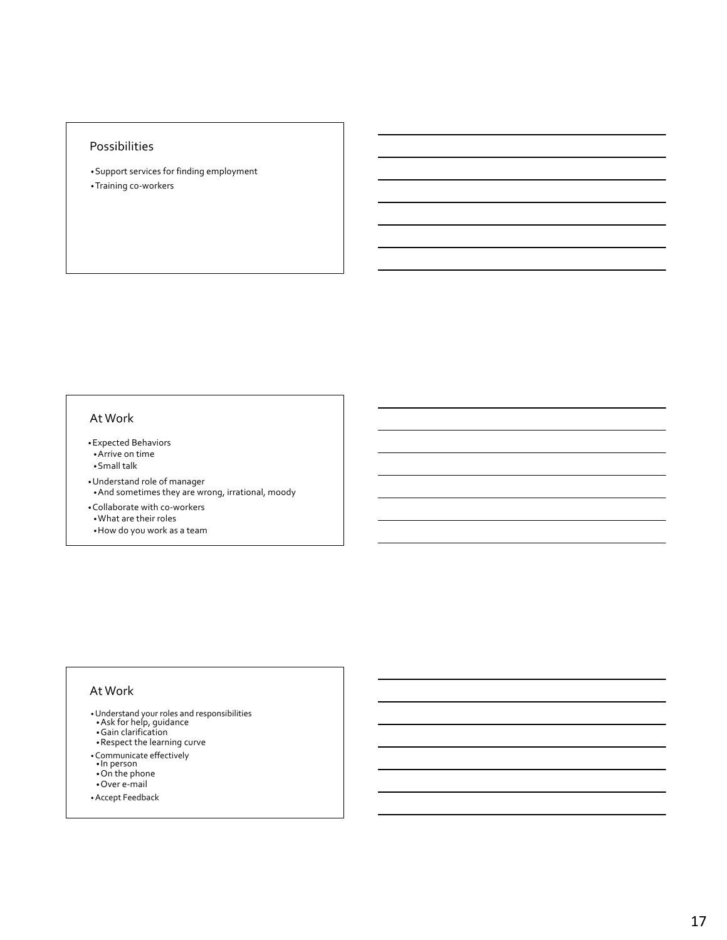### Possibilities

•Support services for finding employment •Training co-workers

### At Work

- •Expected Behaviors
- •Arrive on time
- •Small talk
- •Understand role of manager •And sometimes they are wrong, irrational, moody
- •Collaborate with co-workers •What are their roles
- •How do you work as a team

### At Work

- •Understand your roles and responsibilities •Ask for help, guidance
- 
- •Gain clarification
- •Respect the learning curve
- •Communicate effectively In person
- 
- •On the phone
- •Over e-mail
- •Accept Feedback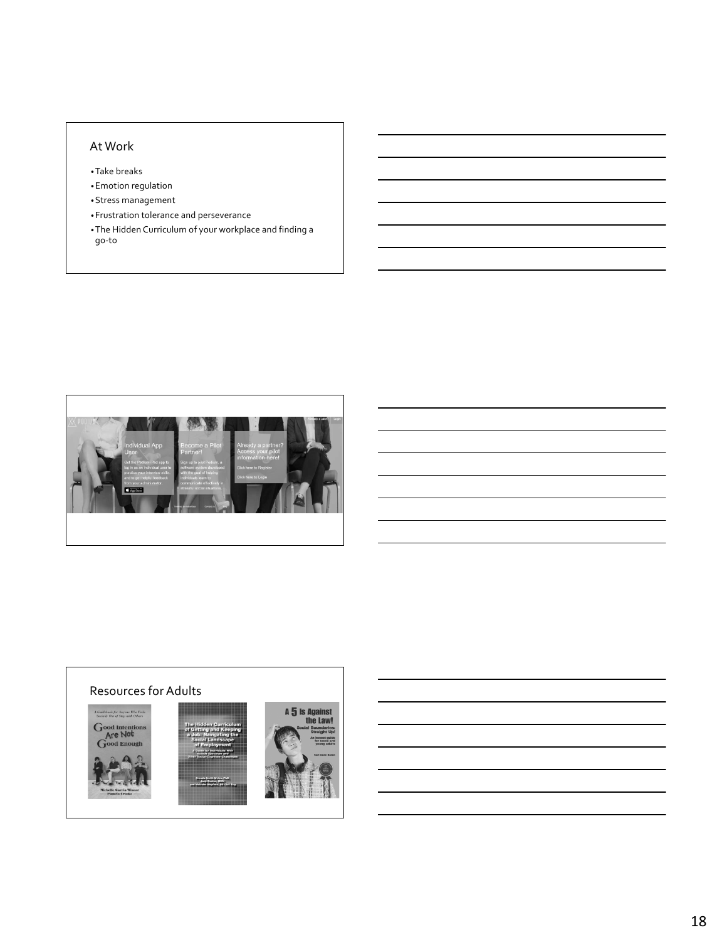# At Work

•Take breaks

•Emotion regulation

•Stress management

- •Frustration tolerance and perseverance
- •The Hidden Curriculum of your workplace and finding a go-to



# Resources for Adults





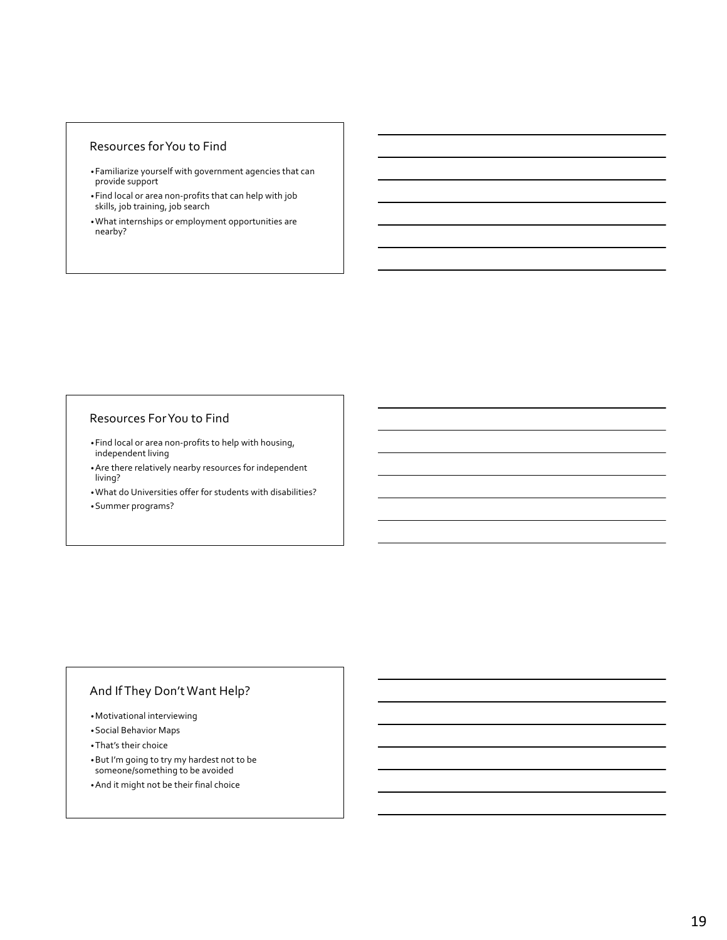### Resources for You to Find

- •Familiarize yourself with government agencies that can provide support
- •Find local or area non-profits that can help with job skills, job training, job search
- •What internships or employment opportunities are nearby?

#### Resources For You to Find

- •Find local or area non-profits to help with housing, independent living
- •Are there relatively nearby resources for independent living?
- •What do Universities offer for students with disabilities?
- •Summer programs?

# And If They Don't Want Help?

- •Motivational interviewing
- •Social Behavior Maps
- •That's their choice
- •But I'm going to try my hardest not to be someone/something to be avoided
- •And it might not be their final choice